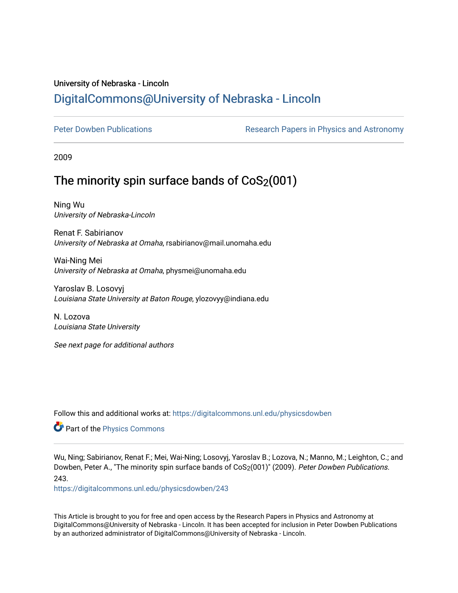# University of Nebraska - Lincoln [DigitalCommons@University of Nebraska - Lincoln](https://digitalcommons.unl.edu/)

[Peter Dowben Publications](https://digitalcommons.unl.edu/physicsdowben) **Research Papers in Physics and Astronomy** 

2009

# The minority spin surface bands of  $CoS<sub>2</sub>(001)$

Ning Wu University of Nebraska-Lincoln

Renat F. Sabirianov University of Nebraska at Omaha, rsabirianov@mail.unomaha.edu

Wai-Ning Mei University of Nebraska at Omaha, physmei@unomaha.edu

Yaroslav B. Losovyj Louisiana State University at Baton Rouge, ylozovyy@indiana.edu

N. Lozova Louisiana State University

See next page for additional authors

Follow this and additional works at: [https://digitalcommons.unl.edu/physicsdowben](https://digitalcommons.unl.edu/physicsdowben?utm_source=digitalcommons.unl.edu%2Fphysicsdowben%2F243&utm_medium=PDF&utm_campaign=PDFCoverPages) 

Part of the [Physics Commons](http://network.bepress.com/hgg/discipline/193?utm_source=digitalcommons.unl.edu%2Fphysicsdowben%2F243&utm_medium=PDF&utm_campaign=PDFCoverPages)

Wu, Ning; Sabirianov, Renat F.; Mei, Wai-Ning; Losovyj, Yaroslav B.; Lozova, N.; Manno, M.; Leighton, C.; and Dowben, Peter A., "The minority spin surface bands of CoS<sub>2</sub>(001)" (2009). Peter Dowben Publications. 243.

[https://digitalcommons.unl.edu/physicsdowben/243](https://digitalcommons.unl.edu/physicsdowben/243?utm_source=digitalcommons.unl.edu%2Fphysicsdowben%2F243&utm_medium=PDF&utm_campaign=PDFCoverPages) 

This Article is brought to you for free and open access by the Research Papers in Physics and Astronomy at DigitalCommons@University of Nebraska - Lincoln. It has been accepted for inclusion in Peter Dowben Publications by an authorized administrator of DigitalCommons@University of Nebraska - Lincoln.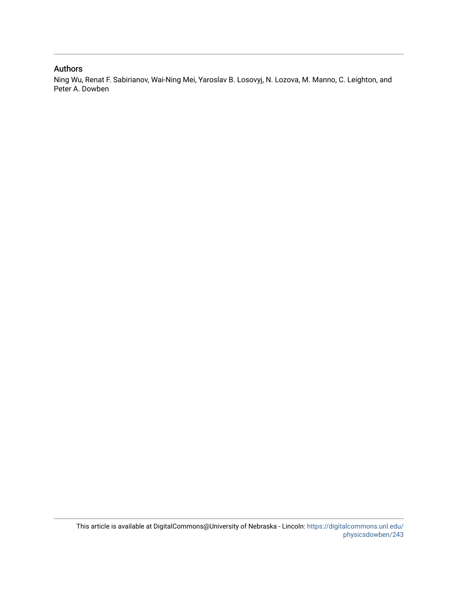## Authors

Ning Wu, Renat F. Sabirianov, Wai-Ning Mei, Yaroslav B. Losovyj, N. Lozova, M. Manno, C. Leighton, and Peter A. Dowben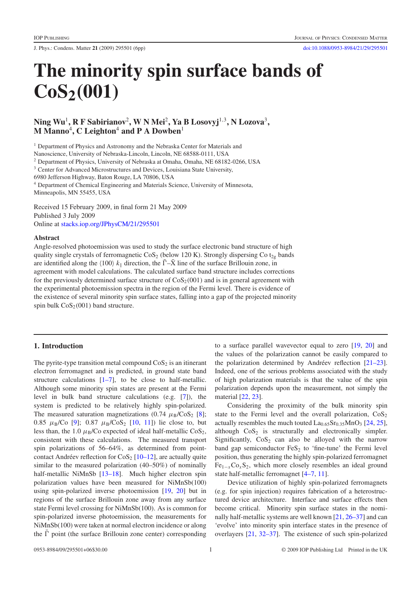J. Phys.: Condens. Matter **21** (2009) 295501 (6pp) [doi:10.1088/0953-8984/21/29/295501](http://dx.doi.org/10.1088/0953-8984/21/29/295501)

# **The minority spin surface bands of CoS2***(***001***)*

## **Ning Wu**<sup>1</sup>**, R F Sabirianov**<sup>2</sup> **, W N Mei**<sup>2</sup>**, Ya B Losovyj**<sup>1</sup>,<sup>3</sup>**, N Lozova**<sup>3</sup>**, M Manno**<sup>4</sup> **, C Leighton**<sup>4</sup> **and P A Dowben**<sup>1</sup>

<sup>1</sup> Department of Physics and Astronomy and the Nebraska Center for Materials and

Nanoscience, University of Nebraska-Lincoln, Lincoln, NE 68588-0111, USA

<sup>2</sup> Department of Physics, University of Nebraska at Omaha, Omaha, NE 68182-0266, USA

<sup>3</sup> Center for Advanced Microstructures and Devices, Louisiana State University,

6980 Jefferson Highway, Baton Rouge, LA 70806, USA

<sup>4</sup> Department of Chemical Engineering and Materials Science, University of Minnesota, Minneapolis, MN 55455, USA

Received 15 February 2009, in final form 21 May 2009 Published 3 July 2009 Online at [stacks.iop.org/JPhysCM/21/295501](http://stacks.iop.org/JPhysCM/21/295501)

#### **Abstract**

Angle-resolved photoemission was used to study the surface electronic band structure of high quality single crystals of ferromagnetic  $\cos_2$  (below 120 K). Strongly dispersing Co t<sub>2g</sub> bands are identified along the  $\langle 100 \rangle k_{\parallel}$  direction, the  $\overline{\Gamma} - \overline{X}$  line of the surface Brillouin zone, in agreement with model calculations. The calculated surface band structure includes corrections for the previously determined surface structure of  $\cos_2(001)$  and is in general agreement with the experimental photoemission spectra in the region of the Fermi level. There is evidence of the existence of several minority spin surface states, falling into a gap of the projected minority spin bulk  $\cos_2(001)$  band structure.

### **1. Introduction**

The pyrite-type transition metal compound  $\cos_2$  is an itinerant electron ferromagnet and is predicted, in ground state band structure calculations  $[1-7]$ , to be close to half-metallic. Although some minority spin states are present at the Fermi level in bulk band structure calculations (e.g. [\[7\]](#page-7-1)), the system is predicted to be relatively highly spin-polarized. The measured saturation magnetizations (0.74  $\mu_B/CoS_2$  [\[8\]](#page-7-2); 0.85  $\mu_B/Co$  [\[9\]](#page-7-3); 0.87  $\mu_B/CoS_2$  [\[10,](#page-7-4) [11\]](#page-7-5)) lie close to, but less than, the 1.0  $\mu$ <sub>B</sub>/Co expected of ideal half-metallic CoS<sub>2</sub>, consistent with these calculations. The measured transport spin polarizations of 56–64%, as determined from pointcontact Andréev reflection for  $\cos_2$  [\[10–12\]](#page-7-4), are actually quite similar to the measured polarization (40–50%) of nominally half-metallic NiMnSb [13-18]. Much higher electron spin polarization values have been measured for NiMnSb(100) using spin-polarized inverse photoemission [\[19,](#page-7-7) [20\]](#page-7-8) but in regions of the surface Brillouin zone away from any surface state Fermi level crossing for NiMnSb(100). As is common for spin-polarized inverse photoemission, the measurements for NiMnSb(100) were taken at normal electron incidence or along the  $\bar{\Gamma}$  point (the surface Brillouin zone center) corresponding to a surface parallel wavevector equal to zero [\[19,](#page-7-7) [20\]](#page-7-8) and the values of the polarization cannot be easily compared to the polarization determined by Andréev reflection  $[21–23]$ . Indeed, one of the serious problems associated with the study of high polarization materials is that the value of the spin polarization depends upon the measurement, not simply the material [\[22,](#page-7-10) [23\]](#page-7-11).

Considering the proximity of the bulk minority spin state to the Fermi level and the overall polarization,  $\cos_2$ actually resembles the much touted  $La<sub>0.65</sub>Sr<sub>0.35</sub>MnO<sub>3</sub>$  [\[24,](#page-7-12) [25\]](#page-7-13), although  $CoS<sub>2</sub>$  is structurally and electronically simpler. Significantly,  $\cos_2$  can also be alloyed with the narrow band gap semiconductor  $FeS<sub>2</sub>$  to 'fine-tune' the Fermi level position, thus generating the highly spin-polarized ferromagnet  $Fe<sub>1-x</sub>Co<sub>x</sub>S<sub>2</sub>$ , which more closely resembles an ideal ground state half-metallic ferromagnet [\[4–7,](#page-7-14) [11\]](#page-7-5).

Device utilization of highly spin-polarized ferromagnets (e.g. for spin injection) requires fabrication of a heterostructured device architecture. Interface and surface effects then become critical. Minority spin surface states in the nominally half-metallic systems are well known [\[21,](#page-7-9) [26–37\]](#page-7-15) and can 'evolve' into minority spin interface states in the presence of overlayers [\[21,](#page-7-9) [32–37\]](#page-7-16). The existence of such spin-polarized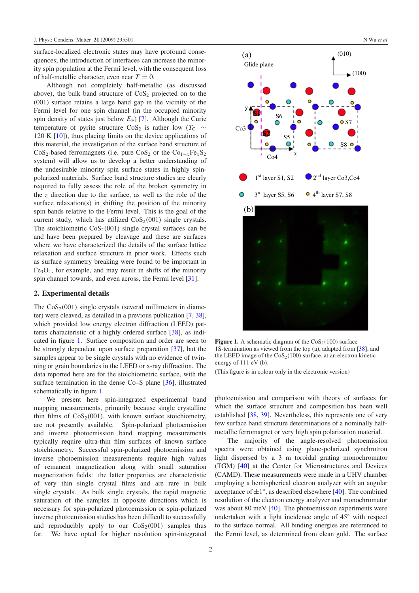surface-localized electronic states may have profound consequences; the introduction of interfaces can increase the minority spin population at the Fermi level, with the consequent loss of half-metallic character, even near  $T = 0$ .

Although not completely half-metallic (as discussed above), the bulk band structure of  $\cos_2$  projected on to the (001) surface retains a large band gap in the vicinity of the Fermi level for one spin channel (in the occupied minority spin density of states just below  $E_F$ ) [\[7\]](#page-7-1). Although the Curie temperature of pyrite structure CoS<sub>2</sub> is rather low ( $T_C \sim$ 120 K [\[10\]](#page-7-4)), thus placing limits on the device applications of this material, the investigation of the surface band structure of CoS<sub>2</sub>-based ferromagnets (i.e. pure CoS<sub>2</sub> or the Co<sub>1−*x*</sub>Fe<sub>*x*</sub>S<sub>2</sub> system) will allow us to develop a better understanding of the undesirable minority spin surface states in highly spinpolarized materials. Surface band structure studies are clearly required to fully assess the role of the broken symmetry in the *z* direction due to the surface, as well as the role of the surface relaxation(s) in shifting the position of the minority spin bands relative to the Fermi level. This is the goal of the current study, which has utilized  $\cos_2(001)$  single crystals. The stoichiometric  $\cos_2(001)$  single crystal surfaces can be and have been prepared by cleavage and these are surfaces where we have characterized the details of the surface lattice relaxation and surface structure in prior work. Effects such as surface symmetry breaking were found to be important in  $Fe<sub>3</sub>O<sub>4</sub>$ , for example, and may result in shifts of the minority spin channel towards, and even across, the Fermi level [\[31\]](#page-7-17).

#### **2. Experimental details**

The  $CoS_2(001)$  single crystals (several millimeters in diameter) were cleaved, as detailed in a previous publication [\[7,](#page-7-1) [38\]](#page-7-18), which provided low energy electron diffraction (LEED) patterns characteristic of a highly ordered surface [\[38\]](#page-7-18), as indicated in figure [1.](#page-3-0) Surface composition and order are seen to be strongly dependent upon surface preparation [\[37\]](#page-7-19), but the samples appear to be single crystals with no evidence of twinning or grain boundaries in the LEED or x-ray diffraction. The data reported here are for the stoichiometric surface, with the surface termination in the dense Co–S plane [\[36\]](#page-7-20), illustrated schematically in figure [1.](#page-3-0)

We present here spin-integrated experimental band mapping measurements, primarily because single crystalline thin films of  $\text{CoS}_2(001)$ , with known surface stoichiometry, are not presently available. Spin-polarized photoemission and inverse photoemission band mapping measurements typically require ultra-thin film surfaces of known surface stoichiometry. Successful spin-polarized photoemission and inverse photoemission measurements require high values of remanent magnetization along with small saturation magnetization fields: the latter properties are characteristic of very thin single crystal films and are rare in bulk single crystals. As bulk single crystals, the rapid magnetic saturation of the samples in opposite directions which is necessary for spin-polarized photoemission or spin-polarized inverse photoemission studies has been difficult to successfully and reproducibly apply to our  $\cos_2(001)$  samples thus far. We have opted for higher resolution spin-integrated

<span id="page-3-0"></span>

**Figure 1.** A schematic diagram of the  $\cos_2(100)$  surface 1S-termination as viewed from the top (a), adapted from [\[38\]](#page-7-18), and the LEED image of the  $\cos_2(100)$  surface, at an electron kinetic energy of 111 eV (b).

(This figure is in colour only in the electronic version)

photoemission and comparison with theory of surfaces for which the surface structure and composition has been well established [\[38,](#page-7-18) [39\]](#page-7-21). Nevertheless, this represents one of very few surface band structure determinations of a nominally halfmetallic ferromagnet or very high spin polarization material.

The majority of the angle-resolved photoemission spectra were obtained using plane-polarized synchrotron light dispersed by a 3 m toroidal grating monochromator (TGM) [\[40\]](#page-7-22) at the Center for Microstructures and Devices (CAMD). These measurements were made in a UHV chamber employing a hemispherical electron analyzer with an angular acceptance of  $\pm 1^\circ$ , as described elsewhere [\[40\]](#page-7-22). The combined resolution of the electron energy analyzer and monochromator was about 80 meV [\[40\]](#page-7-22). The photoemission experiments were undertaken with a light incidence angle of 45◦ with respect to the surface normal. All binding energies are referenced to the Fermi level, as determined from clean gold. The surface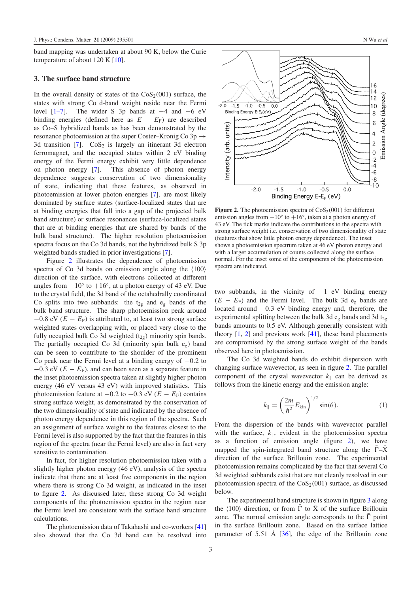band mapping was undertaken at about 90 K, below the Curie temperature of about 120 K [\[10\]](#page-7-4).

#### **3. The surface band structure**

In the overall density of states of the  $\cos_2(001)$  surface, the states with strong Co d-band weight reside near the Fermi level [\[1–7\]](#page-7-0). The wider S 3p bands at −4 and −6 eV binding energies (defined here as  $E - E_F$ ) are described as Co–S hybridized bands as has been demonstrated by the resonance photoemission at the super Coster–Kronig Co  $3p \rightarrow$ 3d transition  $[7]$ .  $CoS<sub>2</sub>$  is largely an itinerant 3d electron ferromagnet, and the occupied states within 2 eV binding energy of the Fermi energy exhibit very little dependence on photon energy [\[7\]](#page-7-1). This absence of photon energy dependence suggests conservation of two dimensionality of state, indicating that these features, as observed in photoemission at lower photon energies [\[7\]](#page-7-1), are most likely dominated by surface states (surface-localized states that are at binding energies that fall into a gap of the projected bulk band structure) or surface resonances (surface-localized states that are at binding energies that are shared by bands of the bulk band structure). The higher resolution photoemission spectra focus on the Co 3d bands, not the hybridized bulk S 3p weighted bands studied in prior investigations [\[7\]](#page-7-1).

Figure [2](#page-4-0) illustrates the dependence of photoemission spectra of Co 3d bands on emission angle along the  $\langle 100 \rangle$ direction of the surface, with electrons collected at different angles from  $-10°$  to  $+16°$ , at a photon energy of 43 eV. Due to the crystal field, the 3d band of the octahedrally coordinated Co splits into two subbands: the  $t_{2g}$  and  $e_g$  bands of the bulk band structure. The sharp photoemission peak around  $-0.8$  eV ( $E - E_F$ ) is attributed to, at least two strong surface weighted states overlapping with, or placed very close to the fully occupied bulk Co 3d weighted  $(t_{2g})$  minority spin bands. The partially occupied Co 3d (minority spin bulk  $e_g$ ) band can be seen to contribute to the shoulder of the prominent Co peak near the Fermi level at a binding energy of −0.2 to  $-0.3$  eV ( $E - E_F$ ), and can been seen as a separate feature in the inset photoemission spectra taken at slightly higher photon energy (46 eV versus 43 eV) with improved statistics. This photoemission feature at  $-0.2$  to  $-0.3$  eV ( $E - E_F$ ) contains strong surface weight, as demonstrated by the conservation of the two dimensionality of state and indicated by the absence of photon energy dependence in this region of the spectra. Such an assignment of surface weight to the features closest to the Fermi level is also supported by the fact that the features in this region of the spectra (near the Fermi level) are also in fact very sensitive to contamination.

In fact, for higher resolution photoemission taken with a slightly higher photon energy (46 eV), analysis of the spectra indicate that there are at least five components in the region where there is strong Co 3d weight, as indicated in the inset to figure [2.](#page-4-0) As discussed later, these strong Co 3d weight components of the photoemission spectra in the region near the Fermi level are consistent with the surface band structure calculations.

The photoemission data of Takahashi and co-workers [\[41\]](#page-7-23) also showed that the Co 3d band can be resolved into

<span id="page-4-0"></span>

**Figure 2.** The photoemission spectra of  $\cos_2(001)$  for different emission angles from  $-10°$  to  $+16°$ , taken at a photon energy of 43 eV. The tick marks indicate the contributions to the spectra with strong surface weight i.e. conservation of two dimensionality of state (features that show little photon energy dependence). The inset shows a photoemission spectrum taken at 46 eV photon energy and with a larger accumulation of counts collected along the surface normal. For the inset some of the components of the photoemission spectra are indicated.

two subbands, in the vicinity of  $-1$  eV binding energy  $(E - E_F)$  and the Fermi level. The bulk 3d e<sub>g</sub> bands are located around −0.3 eV binding energy and, therefore, the experimental splitting between the bulk 3d  $e<sub>g</sub>$  bands and 3d  $t<sub>2g</sub>$ bands amounts to 0.5 eV. Although generally consistent with theory  $[1, 2]$  $[1, 2]$  $[1, 2]$  and previous work  $[41]$ , these band placements are compromised by the strong surface weight of the bands observed here in photoemission.

The Co 3d weighted bands do exhibit dispersion with changing surface wavevector, as seen in figure [2.](#page-4-0) The parallel component of the crystal wavevector  $k_{\parallel}$  can be derived as follows from the kinetic energy and the emission angle:

$$
k_{\parallel} = \left(\frac{2m}{\hbar^2} E_{\rm kin}\right)^{1/2} \sin(\theta). \tag{1}
$$

From the dispersion of the bands with wavevector parallel with the surface,  $k_{\parallel}$ , evident in the photoemission spectra as a function of emission angle (figure [2\)](#page-4-0), we have mapped the spin-integrated band structure along the  $\bar{\Gamma} - \bar{X}$ direction of the surface Brillouin zone. The experimental photoemission remains complicated by the fact that several Co 3d weighted subbands exist that are not cleanly resolved in our photoemission spectra of the  $\cos_2(001)$  surface, as discussed below.

The experimental band structure is shown in figure [3](#page-5-0) along the  $\langle 100 \rangle$  direction, or from  $\overline{\Gamma}$  to  $\overline{X}$  of the surface Brillouin zone. The normal emission angle corresponds to the  $\bar{\Gamma}$  point in the surface Brillouin zone. Based on the surface lattice parameter of 5.51 Å  $[36]$  $[36]$ , the edge of the Brillouin zone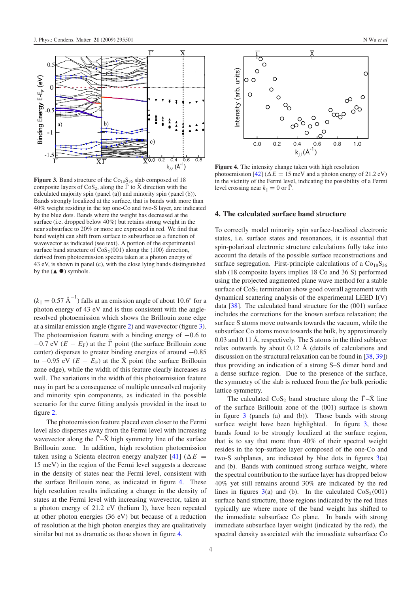<span id="page-5-0"></span>

**Figure 3.** Band structure of the  $Co<sub>18</sub>S<sub>36</sub>$  slab composed of 18 composite layers of CoS<sub>2</sub>, along the  $\overline{\Gamma}$  to  $\overline{X}$  direction with the calculated majority spin (panel (a)) and minority spin (panel (b)). Bands strongly localized at the surface, that is bands with more than 40% weight residing in the top one-Co and two-S layer, are indicated by the blue dots. Bands where the weight has decreased at the surface (i.e. dropped below 40%) but retains strong weight in the near subsurface to 20% or more are expressed in red. We find that band weight can shift from surface to subsurface as a function of wavevector as indicated (see text). A portion of the experimental surface band structure of  $\cos_2(001)$  along the  $\langle 100 \rangle$  direction, derived from photoemission spectra taken at a photon energy of 43 eV, is shown in panel (c), with the close lying bands distinguished by the  $($  $\bullet$  $)$  symbols.

 $(k_{\parallel} = 0.57 \text{ \AA}^{-1})$  falls at an emission angle of about 10.6° for a photon energy of 43 eV and is thus consistent with the angleresolved photoemission which shows the Brillouin zone edge at a similar emission angle (figure [2\)](#page-4-0) and wavevector (figure [3\)](#page-5-0). The photoemission feature with a binding energy of  $-0.6$  to  $-0.7$  eV ( $E - E_F$ ) at the  $\overline{\Gamma}$  point (the surface Brillouin zone center) disperses to greater binding energies of around −0.85 to  $-0.95$  eV ( $E - E_F$ ) at the  $\bar{X}$  point (the surface Brillouin zone edge), while the width of this feature clearly increases as well. The variations in the width of this photoemission feature may in part be a consequence of multiple unresolved majority and minority spin components, as indicated in the possible scenario for the curve fitting analysis provided in the inset to figure [2.](#page-4-0)

The photoemission feature placed even closer to the Fermi level also disperses away from the Fermi level with increasing wavevector along the  $\overline{\Gamma}$ - $\overline{X}$  high symmetry line of the surface Brillouin zone. In addition, high resolution photoemission taken using a Scienta electron energy analyzer [\[41\]](#page-7-23) ( $\Delta E$  = 15 meV) in the region of the Fermi level suggests a decrease in the density of states near the Fermi level, consistent with the surface Brillouin zone, as indicated in figure [4.](#page-5-1) These high resolution results indicating a change in the density of states at the Fermi level with increasing wavevector, taken at a photon energy of 21.2 eV (helium I), have been repeated at other photon energies (36 eV) but because of a reduction of resolution at the high photon energies they are qualitatively similar but not as dramatic as those shown in figure [4.](#page-5-1)

<span id="page-5-1"></span>

**Figure 4.** The intensity change taken with high resolution photoemission [\[42\]](#page-7-25) ( $\Delta E = 15$  meV and a photon energy of 21.2 eV) in the vicinity of the Fermi level, indicating the possibility of a Fermi level crossing near  $k_{\parallel} = 0$  or  $\bar{\Gamma}$ .

#### **4. The calculated surface band structure**

To correctly model minority spin surface-localized electronic states, i.e. surface states and resonances, it is essential that spin-polarized electronic structure calculations fully take into account the details of the possible surface reconstructions and surface segregation. First-principle calculations of a  $Co<sub>18</sub>S<sub>36</sub>$ slab (18 composite layers implies 18 Co and 36 S) performed using the projected augmented plane wave method for a stable surface of  $\cos_2$  termination show good overall agreement with dynamical scattering analysis of the experimental LEED I(V) data [\[38\]](#page-7-18). The calculated band structure for the (001) surface includes the corrections for the known surface relaxation; the surface S atoms move outwards towards the vacuum, while the subsurface Co atoms move towards the bulk, by approximately 0.03 and 0.11 Å, respectively. The S atoms in the third sublayer relax outwards by about  $0.12 \text{ Å}$  (details of calculations and discussion on the structural relaxation can be found in [\[38,](#page-7-18) [39\]](#page-7-21)) thus providing an indication of a strong S–S dimer bond and a dense surface region. Due to the presence of the surface, the symmetry of the slab is reduced from the *fcc* bulk periodic lattice symmetry.

The calculated CoS<sub>2</sub> band structure along the  $\bar{\Gamma} - \bar{X}$  line of the surface Brillouin zone of the (001) surface is shown in figure [3](#page-5-0) (panels (a) and (b)). Those bands with strong surface weight have been highlighted. In figure [3,](#page-5-0) those bands found to be strongly localized at the surface region, that is to say that more than 40% of their spectral weight resides in the top-surface layer composed of the one-Co and two-S subplanes, are indicated by blue dots in figures  $3(a)$  $3(a)$ and (b). Bands with continued strong surface weight, where the spectral contribution to the surface layer has dropped below 40% yet still remains around 30% are indicated by the red lines in figures  $3(a)$  $3(a)$  and (b). In the calculated  $\cos_2(001)$ surface band structure, those regions indicated by the red lines typically are where more of the band weight has shifted to the immediate subsurface Co plane. In bands with strong immediate subsurface layer weight (indicated by the red), the spectral density associated with the immediate subsurface Co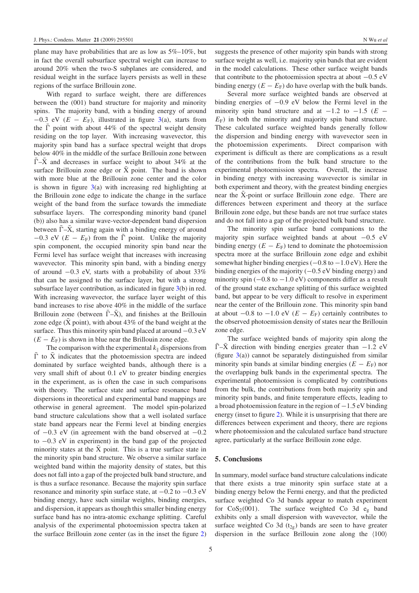plane may have probabilities that are as low as 5%–10%, but in fact the overall subsurface spectral weight can increase to around 20% when the two-S subplanes are considered, and residual weight in the surface layers persists as well in these regions of the surface Brillouin zone.

With regard to surface weight, there are differences between the (001) band structure for majority and minority spins. The majority band, with a binding energy of around  $-0.3$  eV ( $E - E_F$ ), illustrated in figure [3\(](#page-5-0)a), starts from the  $\bar{\Gamma}$  point with about 44% of the spectral weight density residing on the top layer. With increasing wavevector, this majority spin band has a surface spectral weight that drops below 40% in the middle of the surface Brillouin zone between  $\bar{\Gamma}$ - $\bar{X}$  and decreases in surface weight to about 34% at the surface Brillouin zone edge or  $\bar{X}$  point. The band is shown with more blue at the Brillouin zone center and the color is shown in figure  $3(a)$  $3(a)$  with increasing red highlighting at the Brillouin zone edge to indicate the change in the surface weight of the band from the surface towards the immediate subsurface layers. The corresponding minority band (panel (b)) also has a similar wave-vector-dependent band dispersion between  $\bar{\Gamma}$ - $\bar{X}$ , starting again with a binding energy of around  $-0.3$  eV ( $E - E_F$ ) from the  $\overline{\Gamma}$  point. Unlike the majority spin component, the occupied minority spin band near the Fermi level has surface weight that increases with increasing wavevector. This minority spin band, with a binding energy of around −0.3 eV, starts with a probability of about 33% that can be assigned to the surface layer, but with a strong subsurface layer contribution, as indicated in figure [3\(](#page-5-0)b) in red. With increasing wavevector, the surface layer weight of this band increases to rise above 40% in the middle of the surface Brillouin zone (between  $\bar{\Gamma} - \bar{X}$ ), and finishes at the Brillouin zone edge ( $\bar{X}$  point), with about 43% of the band weight at the surface. Thus this minority spin band placed at around −0.3 eV  $(E - E_F)$  is shown in blue near the Brillouin zone edge.

The comparison with the experimental  $k_{\parallel}$  dispersions from  $\bar{\Gamma}$  to  $\bar{X}$  indicates that the photoemission spectra are indeed dominated by surface weighted bands, although there is a very small shift of about 0.1 eV to greater binding energies in the experiment, as is often the case in such comparisons with theory. The surface state and surface resonance band dispersions in theoretical and experimental band mappings are otherwise in general agreement. The model spin-polarized band structure calculations show that a well isolated surface state band appears near the Fermi level at binding energies of  $-0.3$  eV (in agreement with the band observed at  $-0.2$ to −0.3 eV in experiment) in the band gap of the projected minority states at the  $\bar{X}$  point. This is a true surface state in the minority spin band structure. We observe a similar surface weighted band within the majority density of states, but this does not fall into a gap of the projected bulk band structure, and is thus a surface resonance. Because the majority spin surface resonance and minority spin surface state, at −0.2 to −0.3 eV binding energy, have such similar weights, binding energies, and dispersion, it appears as though this smaller binding energy surface band has no intra-atomic exchange splitting. Careful analysis of the experimental photoemission spectra taken at the surface Brillouin zone center (as in the inset the figure [2\)](#page-4-0) suggests the presence of other majority spin bands with strong surface weight as well, i.e. majority spin bands that are evident in the model calculations. These other surface weight bands that contribute to the photoemission spectra at about  $-0.5$  eV binding energy  $(E - E_F)$  do have overlap with the bulk bands.

Several more surface weighted bands are observed at binding energies of −0.9 eV below the Fermi level in the minority spin band structure and at  $-1.2$  to  $-1.5$  ( $E -$ *E*F) in both the minority and majority spin band structure. These calculated surface weighted bands generally follow the dispersion and binding energy with wavevector seen in the photoemission experiments. Direct comparison with experiment is difficult as there are complications as a result of the contributions from the bulk band structure to the experimental photoemission spectra. Overall, the increase in binding energy with increasing wavevector is similar in both experiment and theory, with the greatest binding energies near the  $\bar{X}$ -point or surface Brillouin zone edge. There are differences between experiment and theory at the surface Brillouin zone edge, but these bands are not true surface states and do not fall into a gap of the projected bulk band structure.

The minority spin surface band companions to the majority spin surface weighted bands at about  $-0.5$  eV binding energy  $(E - E_F)$  tend to dominate the photoemission spectra more at the surface Brillouin zone edge and exhibit somewhat higher binding energies  $(-0.8 \text{ to } -1.0 \text{ eV})$ . Here the binding energies of the majority (−0.5 eV binding energy) and minority spin  $(-0.8 \text{ to } -1.0 \text{ eV})$  components differ as a result of the ground state exchange splitting of this surface weighted band, but appear to be very difficult to resolve in experiment near the center of the Brillouin zone. This minority spin band at about  $-0.8$  to  $-1.0$  eV ( $E - E_F$ ) certainly contributes to the observed photoemission density of states near the Brillouin zone edge.

The surface weighted bands of majority spin along the  $\bar{\Gamma}$ - $\bar{X}$  direction with binding energies greater than  $-1.2$  eV (figure  $3(a)$  $3(a)$ ) cannot be separately distinguished from similar minority spin bands at similar binding energies  $(E - E_F)$  nor the overlapping bulk bands in the experimental spectra. The experimental photoemission is complicated by contributions from the bulk, the contributions from both majority spin and minority spin bands, and finite temperature effects, leading to a broad photoemission feature in the region of −1.5 eV binding energy (inset to figure [2\)](#page-4-0). While it is unsurprising that there are differences between experiment and theory, there are regions where photoemission and the calculated surface band structure agree, particularly at the surface Brillouin zone edge.

#### **5. Conclusions**

In summary, model surface band structure calculations indicate that there exists a true minority spin surface state at a binding energy below the Fermi energy, and that the predicted surface weighted Co 3d bands appear to match experiment for  $\cos_2(001)$ . The surface weighted Co 3d e<sub>g</sub> band exhibits only a small dispersion with wavevector, while the surface weighted Co 3d  $(t_{2g})$  bands are seen to have greater dispersion in the surface Brillouin zone along the  $\langle 100 \rangle$